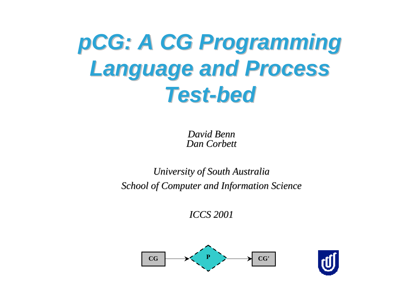## *pCG: A CG Programming : A CG Programming Language and Process Language and Process Test-bed Test-bed*

*David Benn David BennDan Corbett Corbett*

### *University of South Australia University of South Australia School of Computer and Information Science School of Computer and Information Science*

*ICCS 2001 ICCS 2001*



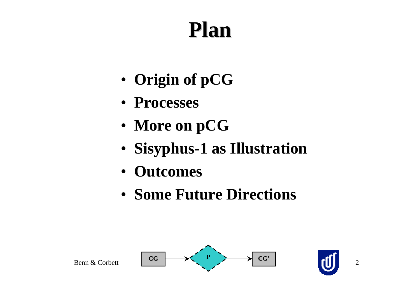### **Plan**

- **Origin of pCG**
- **Processes**
- **More on pCG**
- **Sisyphus-1 as Illustration**
- **Outcomes**
- **Some Future Directions**

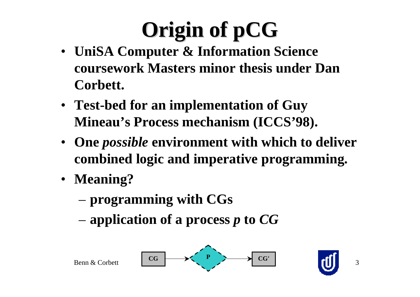# **Origin of pCG**

- **UniSA Computer & Information Science coursework Masters minor thesis under DanCorbett.**
- **Test-bed for an implementation of Guy Mineau's Process mechanism (ICCS'98).**
- **One** *possible* **environment with which to deliver combined logic and imperative programming.**
- **Meaning?**
	- **programming with CGs**
	- **application of a process** *p* **to** *CG*

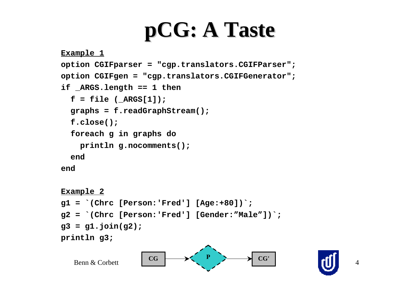### **pCG: A Taste : A Taste**

```
Example 1
option CGIFparser = "cgp.translators.CGIFParser";
option CGIFgen = "cgp.translators.CGIFGenerator";
if _ARGS.length == 1 then
  f = file (ARGS[1]); graphs = f.readGraphStream();
   f.close();
   foreach g in graphs do
     println g.nocomments();
   endend
```

```
Example 2
g1 = `(Chrc [Person:'Fred'] [Age:+80])`;
g2 = `(Chrc [Person:'Fred'] [Gender:"Male"])`;
g3 = g1.join(g2);
println g3;
```
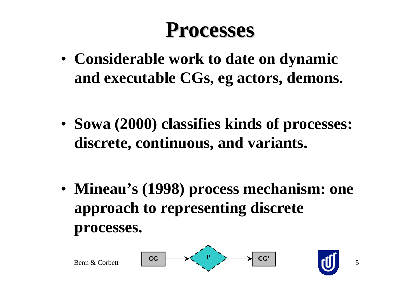### **Processes Processes**

• **Considerable work to date on dynamic and executable CGs, eg actors, demons.**

• **Sowa (2000) classifies kinds of processes: discrete, continuous, and variants.**

• **Mineau's (1998) process mechanism: one approach to representing discrete processes.**

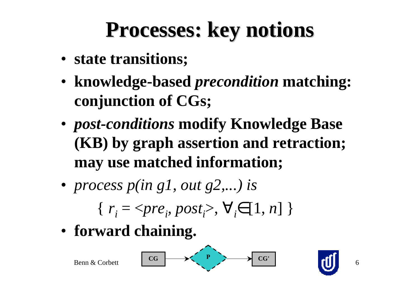### **Processes: key notions Processes: key notions**

- **state transitions;**
- **knowledge-based** *precondition* **matching: conjunction of CGs;**
- *post-conditions* **modify Knowledge Base (KB) by graph assertion and retraction; may use matched information;**
- *process p(in g1, out g2,...) is*
	- $\{ r_i = \langle pre_i, post_i \rangle, \forall i \in [1, n] \}$
- **forward chaining.**

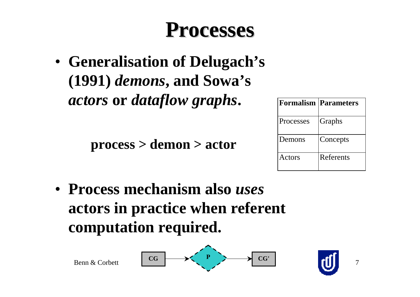### **Processes Processes**

• **Generalisation of Delugach's (1991)** *demons***, and Sowa's** *actors* **or** *dataflow graphs***.**

**process > demon > actor**

|                  | <b>Formalism   Parameters</b> |
|------------------|-------------------------------|
| <b>Processes</b> | Graphs                        |
| Demons           | Concepts                      |
| Actors           | Referents                     |

• **Process mechanism also** *uses* **actors in practice when referent computation required.**



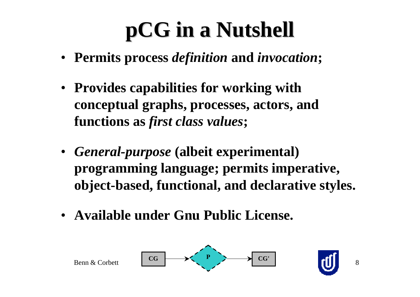## **pCG in a Nutshell in a Nutshell**

- **Permits process** *definition* **and** *invocation***;**
- **Provides capabilities for working with conceptual graphs, processes, actors, and functions as** *first class values***;**
- *General-purpose* **(albeit experimental) programming language; permits imperative, object-based, functional, and declarative styles.**
- **Available under Gnu Public License.**

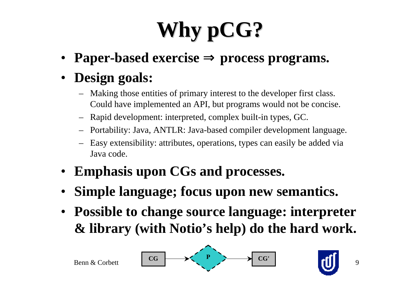# **Why pCG?**

- •**Paper-based exercise** <sup>⇒</sup> **process programs.**
- • **Design goals:**
	- Making those entities of primary interest to the developer first class. Could have implemented an API, but programs would not be concise.
	- –Rapid development: interpreted, complex built-in types, GC.
	- Portability: Java, ANTLR: Java-based compiler development language.
	- – Easy extensibility: attributes, operations, types can easily be added via Java code.
- **Emphasis upon CGs and processes.**
- •**Simple language; focus upon new semantics.**
- **Possible to change source language: interpreter & library (with Notio's help) do the hard work.**

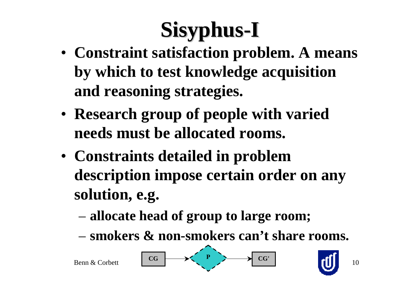- **Constraint satisfaction problem. A means by which to test knowledge acquisition and reasoning strategies.**
- **Research group of people with varied needs must be allocated rooms.**
- **Constraints detailed in problem description impose certain order on any solution, e.g.**
	- **allocate head of group to large room;**
	- **smokers & non-smokers can't share rooms.**

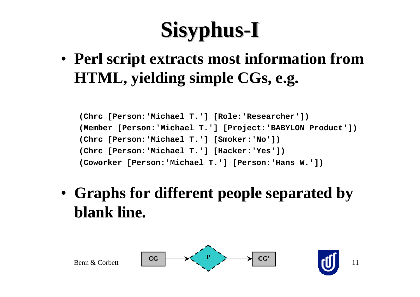• **Perl script extracts most information from HTML, yielding simple CGs, e.g.**

**(Chrc [Person:'Michael T.'] [Role:'Researcher']) (Member [Person:'Michael T.'] [Project:'BABYLON Product']) (Chrc [Person:'Michael T.'] [Smoker:'No']) (Chrc [Person:'Michael T.'] [Hacker:'Yes']) (Coworker [Person:'Michael T.'] [Person:'Hans W.'])**

• **Graphs for different people separated by blank line.**

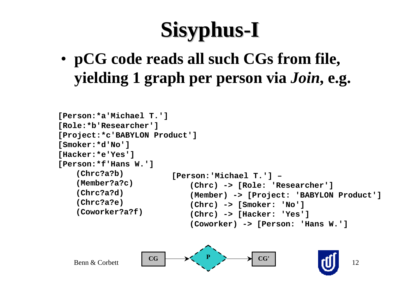• **pCG code reads all such CGs from file, yielding 1 graph per person via** *Join***, e.g.**

```
[Person:*a'Michael T.']
[Role:*b'Researcher']
[Project:*c'BABYLON Product']
[Smoker:*d'No']
[Hacker:*e'Yes']
[Person:*f'Hans W.']
   (Chrc?a?b)
   (Member?a?c)
   (Chrc?a?d)
   (Chrc?a?e)
   (Coworker?a?f)
                        [Person:'Michael T.'] –
                            (Chrc) -> [Role: 'Researcher']
                            (Member) -> [Project: 'BABYLON Product']
                            (Chrc) -> [Smoker: 'No']
                            (Chrc) -> [Hacker: 'Yes']
                            (Coworker) -> [Person: 'Hans W.']
```
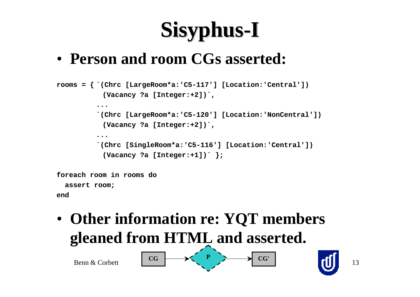### • **Person and room CGs asserted:**

```
rooms = \{ \hat{C}(\text{chrc } [\text{LargeRoom*a:'}C5-117'] | [\text{Location:'}Central'] \}) (Vacancy ?a [Integer:+2])`,
           ...`(Chrc [LargeRoom*a:'C5-120'] [Location:'NonCentral'])
             (Vacancy ?a [Integer:+2])`,
           ...`(Chrc [SingleRoom*a:'C5-116'] [Location:'Central'])
             (Vacancy ?a [Integer:+1])` };
foreach room in rooms do
```
 **assert room;**

**end**

• **Other information re: YQT members gleaned from HTML and asserted.**



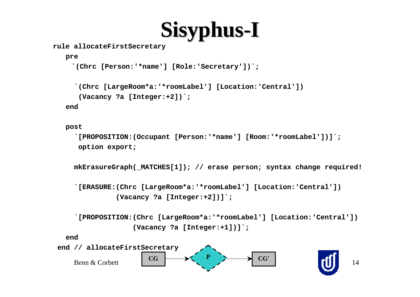**rule allocateFirstSecretary**

 **pre**

```
 `(Chrc [Person:'*name'] [Role:'Secretary'])`;
```

```
 `(Chrc [LargeRoom*a:'*roomLabel'] [Location:'Central'])
```

```
 (Vacancy ?a [Integer:+2])`;
```
 **end**

 **post**

```
 `[PROPOSITION:(Occupant [Person:'*name'] [Room:'*roomLabel'])]`;
 option export;
```
 **mkErasureGraph(\_MATCHES[1]); // erase person; syntax change required!**

```
 `[ERASURE:(Chrc [LargeRoom*a:'*roomLabel'] [Location:'Central'])
           (Vacancy ?a [Integer:+2])]`;
```

```
 `[PROPOSITION:(Chrc [LargeRoom*a:'*roomLabel'] [Location:'Central'])
               (Vacancy ?a [Integer:+1])]`;
```
 **end**

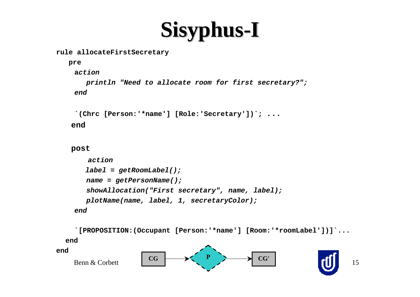#### **rule allocateFirstSecretary**

```
 pre
  action println "Need to allocate room for first secretary?";
  end
```

```
 `(Chrc [Person:'*name'] [Role:'Secretary'])`; ...
```
 **end**

```
 post
```

```
action label = getRoomLabel();
   name = getPersonName();
   showAllocation("First secretary", name, label);
   plotName(name, label, 1, secretaryColor);
 end
```
 **`[PROPOSITION:(Occupant [Person:'\*name'] [Room:'\*roomLabel'])]`... end end**



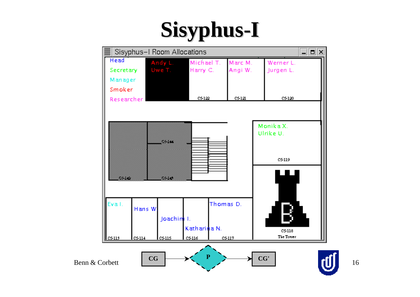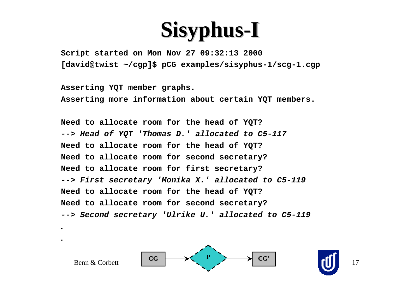**Script started on Mon Nov 27 09:32:13 2000 [david@twist ~/cgp]\$ pCG examples/sisyphus-1/scg-1.cgp**

**Asserting YQT member graphs. Asserting more information about certain YQT members.**

**.**

**.**

**Need to allocate room for the head of YQT? --> Head of YQT 'Thomas D.' allocated to C5-117 Need to allocate room for the head of YQT? Need to allocate room for second secretary? Need to allocate room for first secretary? --> First secretary 'Monika X.' allocated to C5-119 Need to allocate room for the head of YQT? Need to allocate room for second secretary? --> Second secretary 'Ulrike U.' allocated to C5-119**

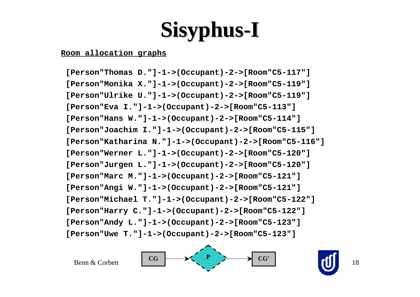### **Room allocation graphs**

 **[Person"Thomas D."]-1->(Occupant)-2->[Room"C5-117"] [Person"Monika X."]-1->(Occupant)-2->[Room"C5-119"] [Person"Ulrike U."]-1->(Occupant)-2->[Room"C5-119"] [Person"Eva I."]-1->(Occupant)-2->[Room"C5-113"] [Person"Hans W."]-1->(Occupant)-2->[Room"C5-114"] [Person"Joachim I."]-1->(Occupant)-2->[Room"C5-115"] [Person"Katharina N."]-1->(Occupant)-2->[Room"C5-116"] [Person"Werner L."]-1->(Occupant)-2->[Room"C5-120"] [Person"Jurgen L."]-1->(Occupant)-2->[Room"C5-120"] [Person"Marc M."]-1->(Occupant)-2->[Room"C5-121"] [Person"Angi W."]-1->(Occupant)-2->[Room"C5-121"] [Person"Michael T."]-1->(Occupant)-2->[Room"C5-122"] [Person"Harry C."]-1->(Occupant)-2->[Room"C5-122"] [Person"Andy L."]-1->(Occupant)-2->[Room"C5-123"] [Person"Uwe T."]-1->(Occupant)-2->[Room"C5-123"]**

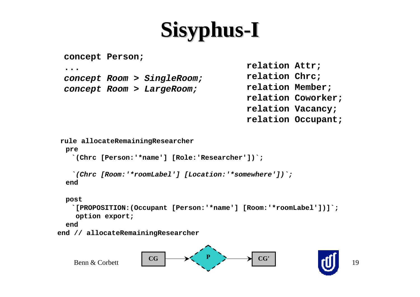```
concept Person;
```

```
...
```
**concept Room > SingleRoom; concept Room > LargeRoom;**

**relation Attr; relation Chrc; relation Member; relation Coworker; relation Vacancy; relation Occupant;**

```
rule allocateRemainingResearcher
```
 **pre**

 **`(Chrc [Person:'\*name'] [Role:'Researcher'])`;**

```
`(Chrc [Room:'*roomLabel'] [Location:'*somewhere'])`;
 end
```

```
 post
```

```
`[PROPOSITION:(Occupant [Person:'*name'] [Room:'*roomLabel'])]`;
 option export;
```
 **end**

```
 end // allocateRemainingResearcher
```
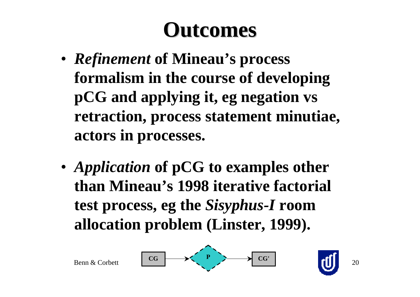### **Outcomes Outcomes**

- *Refinement* **of Mineau's process formalism in the course of developing pCG and applying it, eg negation vs retraction, process statement minutiae, actors in processes.**
- *Application* **of pCG to examples other than Mineau's 1998 iterative factorial test process, eg the** *Sisyphus-I* **room allocation problem (Linster, 1999).**

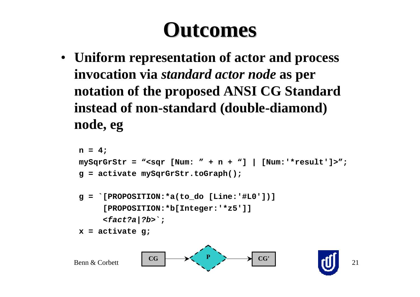### **Outcomes Outcomes**

• **Uniform representation of actor and process invocation via** *standard actor node* **as per notation of the proposed ANSI CG Standard instead of non-standard (double-diamond) node, eg**

```
n = 4;
mySqrGrStr = "<sqr [Num: " + n + "] | [Num:'*result']>";
g = activate mySqrGrStr.toGraph();
g = `[PROPOSITION:*a(to_do [Line:'#L0'])]
      [PROPOSITION:*b[Integer:'*z5']]
     <fact?a|?b>`;
x = activate g;
```